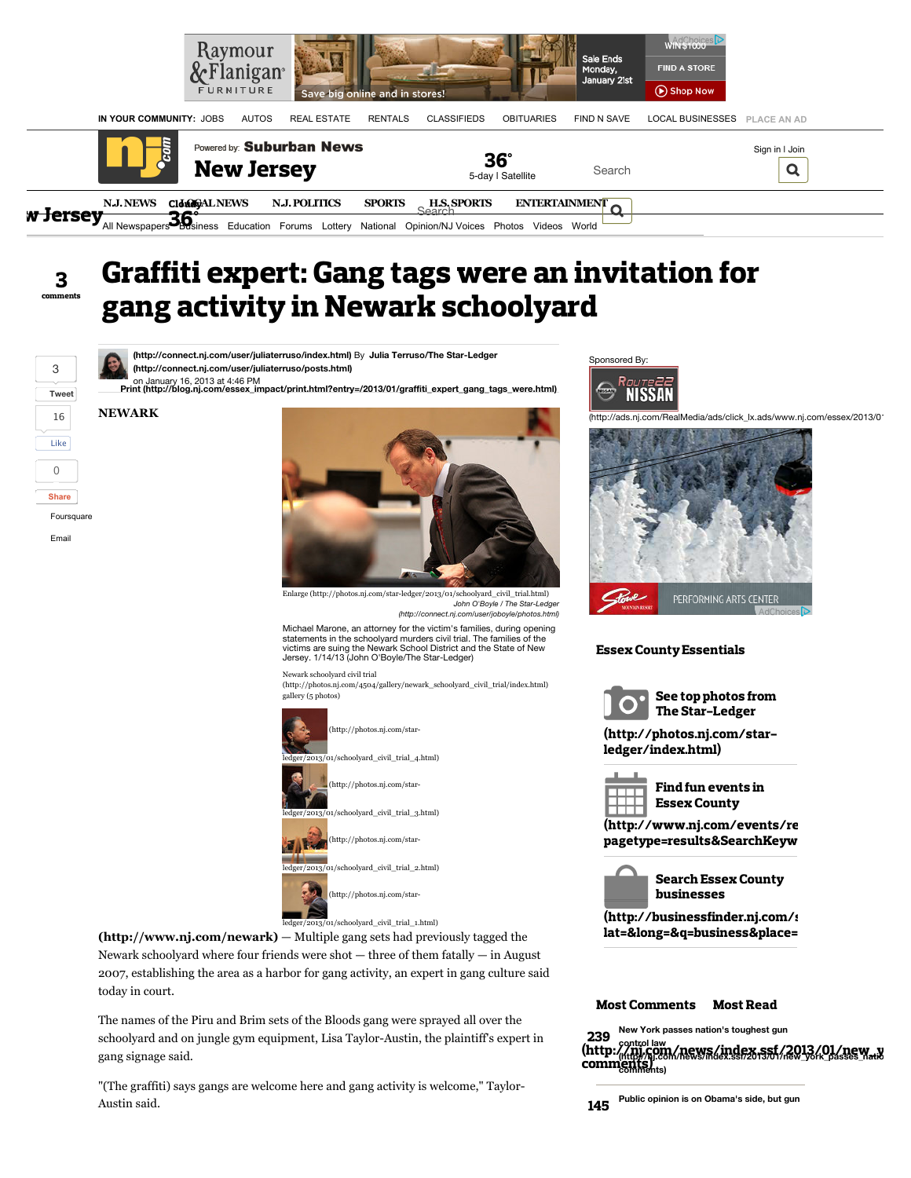

# $\overline{\mathbf{3}}$ Graffiti expert: Gang tags were an invitation for gang activity in Newark schoolyard

**[Tweet](https://twitter.com/intent/tweet?original_referer=http%3A%2F%2Fwww.nj.com%2Fessex%2Findex.ssf%2F2013%2F01%2Fgraffiti_expert_gang_tags_were.html&text=Graffiti%20expert%3A%20Gang%20tags%20were%20an%20invitation%20for%20gang%20activity%20in%20Newark%20schoolyard%20%7C%20NJ.com&tw_p=tweetbutton&url=http%3A%2F%2Fwww.nj.com%2Fessex%2Findex.ssf%2F2013%2F01%2Fgraffiti_expert_gang_tags_were.html)** [3](http://twitter.com/search?q=http%3A%2F%2Fwww.nj.com%2Fessex%2Findex.ssf%2F2013%2F01%2Fgraffiti_expert_gang_tags_were.html) 16 Like 0 **Share** Foursquare

Email

**<sup>---</sup> on January 16, 2013 at 4:46 PM**<br>[Print \(http://blog.nj.com/essex\\_impact/print.html?entry=/2013/01/graffiti\\_expert\\_gang\\_tags\\_were.html\)](http://blog.nj.com/essex_impact/print.html?entry=/2013/01/graffiti_expert_gang_tags_were.html) **[\(http://connect.nj.com/user/juliaterruso/index.html\)](http://connect.nj.com/user/juliaterruso/index.html)** By **Julia Terruso/The Star-Ledger [\(http://connect.nj.com/user/juliaterruso/posts.html\)](http://connect.nj.com/user/juliaterruso/posts.html)**

**NEWARK**

[Enlarge \(http://photos.nj.com/star-ledger/2013/01/schoolyard\\_civil\\_trial.html\)](http://photos.nj.com/star-ledger/2013/01/schoolyard_civil_trial.html)

John O'Boyle / The Star-Ledge *[\(http://connect.nj.com/user/joboyle/photos.html\)](http://connect.nj.com/user/joboyle/photos.html)*

Michael Marone, an attorney for the victim's families, during opening statements in the schoolyard murders civil trial. The families of the victims are suing the Newark School District and the State of New

Newark schoolyard civil trial

 $(\text{http://photos.nj.com/4504/gallery/newsrk\_schoolyard\_civil\_trial/index.html})$ gallery (5 photos)



Jersey. 1/14/13 (John O'Boyle/The Star-Ledger)

**[\(http://www.nj.com/newark\)](http://www.nj.com/newark)** — Multiple gang sets had previously tagged the Newark schoolyard where four friends were shot — three of them fatally — in August 2007, establishing the area as a harbor for gang activity, an expert in gang culture said today in court.

The names of the Piru and Brim sets of the Bloods gang were sprayed all over the schoolyard and on jungle gym equipment, Lisa Taylor-Austin, the plaintiff's expert in gang signage said.

"(The graffiti) says gangs are welcome here and gang activity is welcome," Taylor-Austin said.







## Essex County Essentials



See top photos from The Star-Ledger

[\(http://photos.nj.com/star](http://photos.nj.com/star-ledger/index.html)ledger/index.html)



Find fun events in Essex County

[\(http://www.nj.com/events/re](http://www.nj.com/events/results/index.ssf?pagetype=results&SearchKeyword=Title&SearchRegion=Essex&SearchCategory=&SearchDateRange=next7) pagetype=results&SearchKeyw



[\(http://businessfinder.nj.com/s](http://businessfinder.nj.com/search?lat=&long=&q=business&place=Newark) lat=&long=&q=business&place=

## [Most Comments](http://www.nj.com/essex/index.ssf/2013/01/graffiti_expert_gang_tags_were.html#most-comments) [Most Read](http://www.nj.com/essex/index.ssf/2013/01/graffiti_expert_gang_tags_were.html#most-read)

**New York passes nation's toughest gun** 239

**control law** (http://nj.com/news/index.ssf/2013/01/new\_york\_passes\_national **comments)**  $(\text{http://ni.com/news/index.ssf/2013/01/new_*)}$ comments)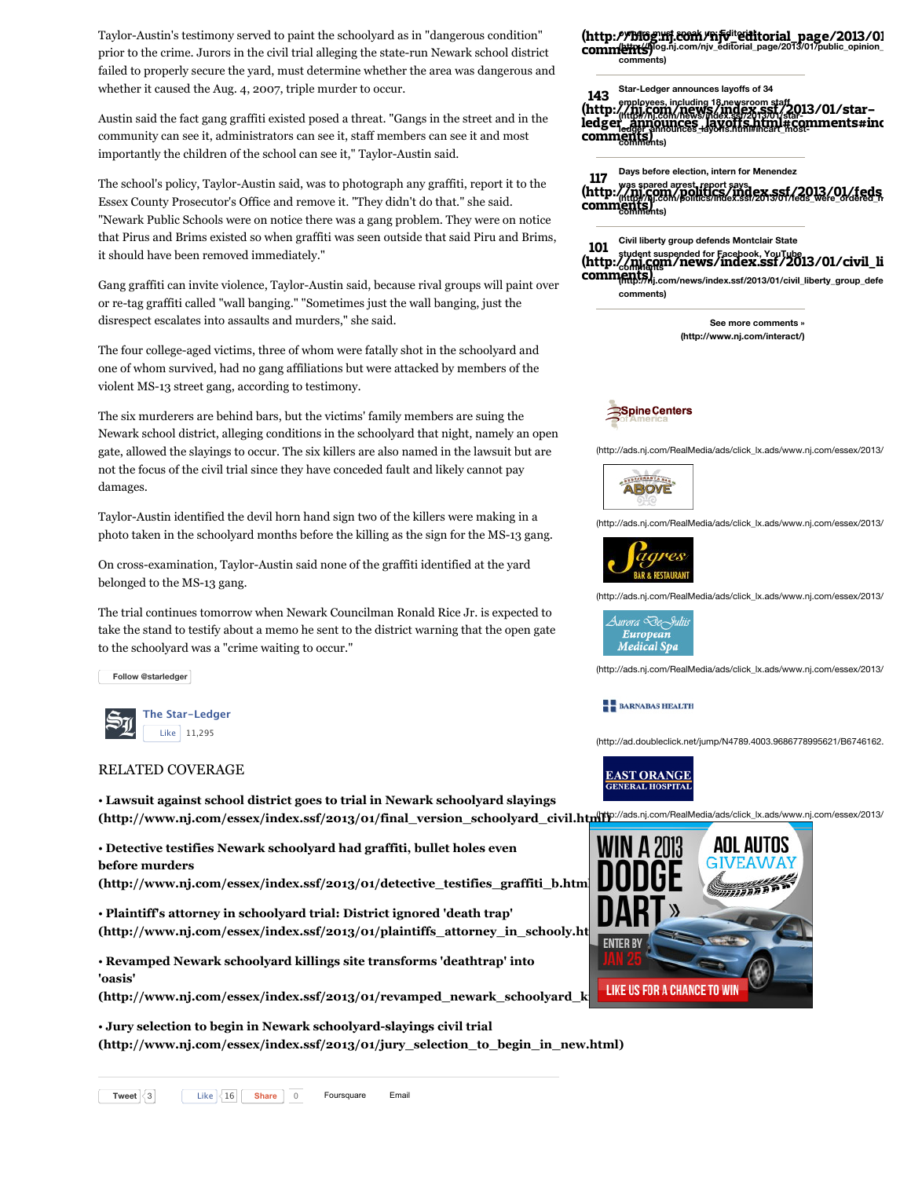Taylor-Austin's testimony served to paint the schoolyard as in "dangerous condition" prior to the crime. Jurors in the civil trial alleging the state-run Newark school district failed to properly secure the yard, must determine whether the area was dangerous and whether it caused the Aug. 4, 2007, triple murder to occur.

Austin said the fact gang graffiti existed posed a threat. "Gangs in the street and in the community can see it, administrators can see it, staff members can see it and most importantly the children of the school can see it," Taylor-Austin said.

The school's policy, Taylor-Austin said, was to photograph any graffiti, report it to the Essex County Prosecutor's Office and remove it. "They didn't do that." she said. "Newark Public Schools were on notice there was a gang problem. They were on notice that Pirus and Brims existed so when graffiti was seen outside that said Piru and Brims, it should have been removed immediately."

Gang graffiti can invite violence, Taylor-Austin said, because rival groups will paint over or re-tag graffiti called "wall banging." "Sometimes just the wall banging, just the disrespect escalates into assaults and murders," she said.

The four college-aged victims, three of whom were fatally shot in the schoolyard and one of whom survived, had no gang affiliations but were attacked by members of the violent MS-13 street gang, according to testimony.

The six murderers are behind bars, but the victims' family members are suing the Newark school district, alleging conditions in the schoolyard that night, namely an open gate, allowed the slayings to occur. The six killers are also named in the lawsuit but are not the focus of the civil trial since they have conceded fault and likely cannot pay damages.

Taylor-Austin identified the devil horn hand sign two of the killers were making in a photo taken in the schoolyard months before the killing as the sign for the MS-13 gang.

On cross-examination, Taylor-Austin said none of the graffiti identified at the yard belonged to the MS-13 gang.

The trial continues tomorrow when Newark Councilman Ronald Rice Jr. is expected to take the stand to testify about a memo he sent to the district warning that the open gate to the schoolyard was a "crime waiting to occur."

**[Follow @starledger](https://twitter.com/intent/follow?original_referer=http%3A%2F%2Fwww.nj.com%2Fessex%2Findex.ssf%2F2013%2F01%2Fgraffiti_expert_gang_tags_were.html®ion=follow_link&screen_name=starledger&tw_p=followbutton&variant=2.0)**



# RELATED COVERAGE

• **Lawsuit against school district goes to trial in Newark schoolyard slayings** (http://www.nj.com/essex/index.ssf/2013/01/final\_version\_schoolyard\_civil.htmhps://ads.nj.com/RealMedia/ads/click\_lx.ads/www.nj.com/essex/2013/

• **Detective testifies Newark schoolyard had graffiti, bullet holes even before murders**

**[\(http://www.nj.com/essex/index.ssf/2013/01/detective\\_testifies\\_graffiti\\_b.html\)](http://www.nj.com/essex/index.ssf/2013/01/detective_testifies_graffiti_b.html)**

• **Plaintiff's attorney in schoolyard trial: District ignored 'death trap'** (http://www.nj.com/essex/index.ssf/2013/01/plaintiffs\_attorney\_in\_schooly.html

• **Revamped Newark schoolyard killings site transforms 'deathtrap' into 'oasis'**

(http://www.nj.com/essex/index.ssf/2013/01/revamped\_newark\_schoolyard\_k<sup>ill</sup>\_LIKE US FOR A CHANCE TO WIN

• **Jury selection to begin in Newark schoolyard-slayings civil trial [\(http://www.nj.com/essex/index.ssf/2013/01/jury\\_selection\\_to\\_begin\\_in\\_new.html\)](http://www.nj.com/essex/index.ssf/2013/01/jury_selection_to_begin_in_new.html)**

**owners must speak up: Editorial [\(http:/](http://blog.nj.com/njv_editorial_page/2013/01/public_opinion_is_on_obamas_si.html#comments%23incart_most-comments)/blog.iff.com/Fificiteditorial\_page/2013/01<br>comm<b>b#in**k4|log.nj.com/njv\_editorial\_page/2013/01/public\_opinion\_ **comments)** comments)

**Star-Ledger announces layoffs of 34** 143

**employees, including 18 newsroom staff (http://nj.com/news/index.ssf/2013/01/star-**(http:[//nj.com/news/index.ssf/2013](http://nj.com/news/index.ssf/2013/01/star-ledger_announces_layoffs.html#incart_most-comments)/01/star[ledger\\_announces\\_layoffs.html#comments#inc](http://nj.com/news/index.ssf/2013/01/star-ledger_announces_layoffs.html#comments%23incart_most-comments) **comments)** comments)

**Days before election, intern for Menendez** 117

**was spared arrest, report says** [\(http:/](http://nj.com/politics/index.ssf/2013/01/feds_were_ordered_not_to_arres.html#comments%23incart_most-comments)/<u>nj.com/politics/index.ssf/2013/01/feds</u> **comments)** comments)

**Civil liberty group defends Montclair State student suspended for Facebook, YouTube** [\(http:/](http://nj.com/news/index.ssf/2013/01/civil_liberty_group_defends_mo.html#comments%23incart_most-comments)[/nj.com/news/index.ssf/2013/01/civil\\_li](http://nj.com/news/index.ssf/2013/01/civil_liberty_group_defends_mo.html#incart_most-comments) **(http://nj.com/news/index.ssf/2013/01/civil\_liberty\_group\_defends\_mo.html#incart\_most-**comments)**comments)** 101

> **See more comments » [\(http://www.nj.com/interact/\)](http://www.nj.com/interact/)**



[\(http://ads.nj.com/RealMedia/ads/click\\_lx.ads/www.nj.com/essex/2013/](http://ads.nj.com/RealMedia/ads/click_lx.ads/www.nj.com/essex/2013/01/graffiti_expert_gang_tags_were.html/L16/462100895/Badge1/NJONLINE/SpineCA01_NJLT_Section_Badge/SpineAmerica_120x60_.jpg/47447a556a4644335258344143553345)



[\(http://ads.nj.com/RealMedia/ads/click\\_lx.ads/www.nj.com/essex/2013/](http://ads.nj.com/RealMedia/ads/click_lx.ads/www.nj.com/essex/2013/01/graffiti_expert_gang_tags_were.html/L16/1384332181/Badge2/NJONLINE/AboveRest01_NJLT_Section_Badge/Above_120x60.jpg/47447a556a4644335258344143553345)



[\(http://ads.nj.com/RealMedia/ads/click\\_lx.ads/www.nj.com/essex/2013/](http://ads.nj.com/RealMedia/ads/click_lx.ads/www.nj.com/essex/2013/01/graffiti_expert_gang_tags_were.html/L16/437299471/Badge3/NJONLINE/SagersBar01_NJLT_Section_Badge/SagresBadge.jpg/47447a556a4644335258344143553345)



(http://ads.nj.com/RealMedia/ads/click lx.ads/www.nj.com/essex/2013/

#### **BARNABAS HEALTH**

[\(http://ad.doubleclick.net/jump/N4789.4003.9686778995621/B6746162.](http://ad.doubleclick.net/jump/N4789.4003.9686778995621/B6746162.6;sz=120x60;ord=1689604203?)



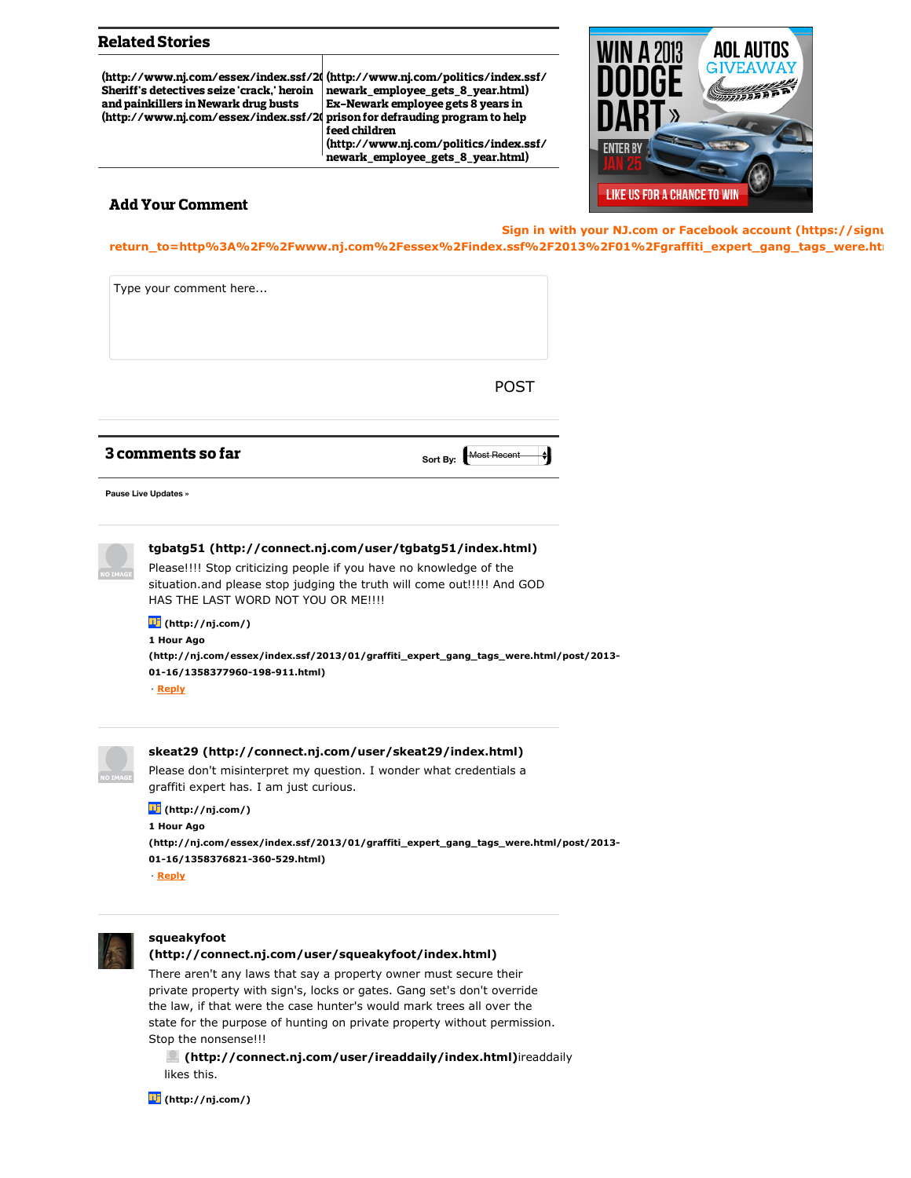## Related Stories

[\(http://www.nj.com/essex/index.ssf/20](http://www.nj.com/essex/index.ssf/2013/01/sheriffs_detectives_seize_crac.html) (http://www.nj.com/politics/index.ssf/  $\begin{array}{|c|c|c|}\hline \end{array}$ Sheriff's detectives seize 'crack,' heroin and painkillers in Newark drug busts [\(http://www.nj.com/essex/index.ssf/20](http://www.nj.com/essex/index.ssf/2013/01/sheriffs_detectives_seize_crac.html)

newark\_employee\_gets\_8\_year.html) Ex-Newark employee gets 8 years in prison for defrauding program to help feed children (http://www.nj.com/politics/index.ssf/ newark\_employee\_gets\_8\_year.html)



## Add Your Comment

**Sign in with your NJ.com or Facebook account (https://signulary. [return\\_to=http%3A%2F%2Fwww.nj.com%2Fessex%2Findex.ssf%2F2013%2F01%2Fgraffiti\\_expert\\_gang\\_tags\\_were.htm](https://signup.nj.com/sign-in/?return_to=http%3A%2F%2Fwww.nj.com%2Fessex%2Findex.ssf%2F2013%2F01%2Fgraffiti_expert_gang_tags_were.html%23incart_river)l%23incart\_river)**



## **[tgbatg51 \(http://connect.nj.com/user/tgbatg51/index.html\)](http://connect.nj.com/user/tgbatg51/index.html)**

Please!!!! Stop criticizing people if you have no knowledge of the situation.and please stop judging the truth will come out!!!!! And GOD HAS THE LAST WORD NOT YOU OR ME!!!!

## **1 Hour Ago [\(http://nj.com/\)](http://nj.com/)**

**[\(http://nj.com/essex/index.ssf/2013/01/graffiti\\_expert\\_gang\\_tags\\_were.html/post/2013-](http://nj.com/essex/index.ssf/2013/01/graffiti_expert_gang_tags_were.html/post/2013-01-16/1358377960-198-911.html) 01-16/1358377960-198-911.html)**

· **Reply**

| ٠<br>,, |
|---------|

# **[skeat29 \(http://connect.nj.com/user/skeat29/index.html\)](http://connect.nj.com/user/skeat29/index.html)**

Please don't misinterpret my question. I wonder what credentials a graffiti expert has. I am just curious.

#### **[\(http://nj.com/\)](http://nj.com/)**

**1 Hour Ago [\(http://nj.com/essex/index.ssf/2013/01/graffiti\\_expert\\_gang\\_tags\\_were.html/post/2013-](http://nj.com/essex/index.ssf/2013/01/graffiti_expert_gang_tags_were.html/post/2013-01-16/1358376821-360-529.html) 01-16/1358376821-360-529.html)** · **Reply**



#### **squeakyfoot**

**[\(http://connect.nj.com/user/squeakyfoot/index.html\)](http://connect.nj.com/user/squeakyfoot/index.html)**

There aren't any laws that say a property owner must secure their private property with sign's, locks or gates. Gang set's don't override the law, if that were the case hunter's would mark trees all over the state for the purpose of hunting on private property without permission. Stop the nonsense!!!

 **[\(http://connect.nj.com/user/ireaddaily/index.html\)](http://connect.nj.com/user/ireaddaily/index.html)**ireaddaily likes this.

**[\(http://nj.com/\)](http://nj.com/)**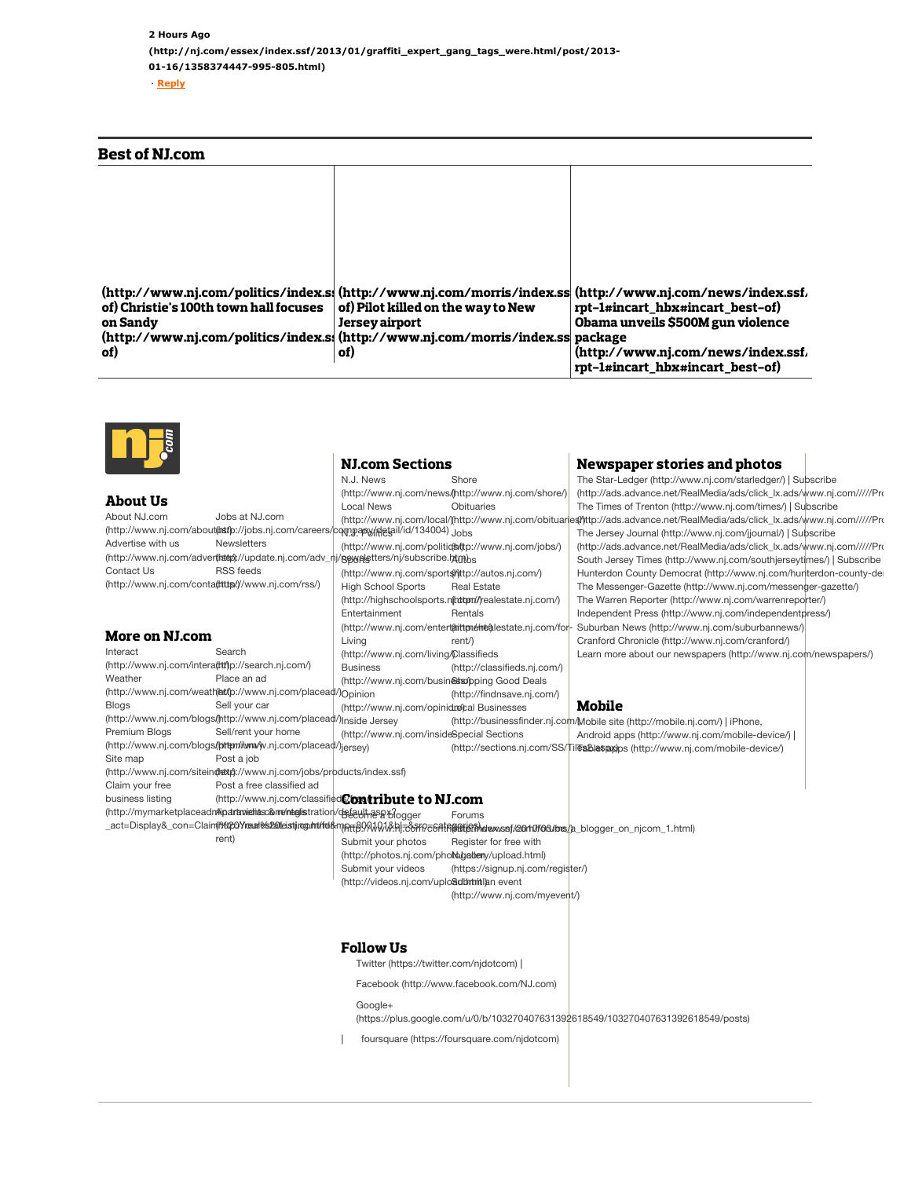## Best of NJ.com

|                                                                                 |                                              | (http://www.nj.com/politics/index.s; (http://www.nj.com/morris/index.ss  (http://www.nj.com/news/index.ssf. |
|---------------------------------------------------------------------------------|----------------------------------------------|-------------------------------------------------------------------------------------------------------------|
| of) Christie's 100th town hall focuses                                          | $\,$ of) Pilot killed on the way to New $\,$ | rpt-1#incart hbx#incart best-of)                                                                            |
| on Sandy                                                                        | <b>Jersey airport</b>                        | Obama unveils \$500M gun violence                                                                           |
| (http://www.nj.com/politics/index.s. (http://www.nj.com/morris/index.ss package |                                              |                                                                                                             |
| of)                                                                             | of)                                          | (http://www.nj.com/news/index.ssf                                                                           |
|                                                                                 |                                              | rpt-1#incart hbx#incart best-of)                                                                            |